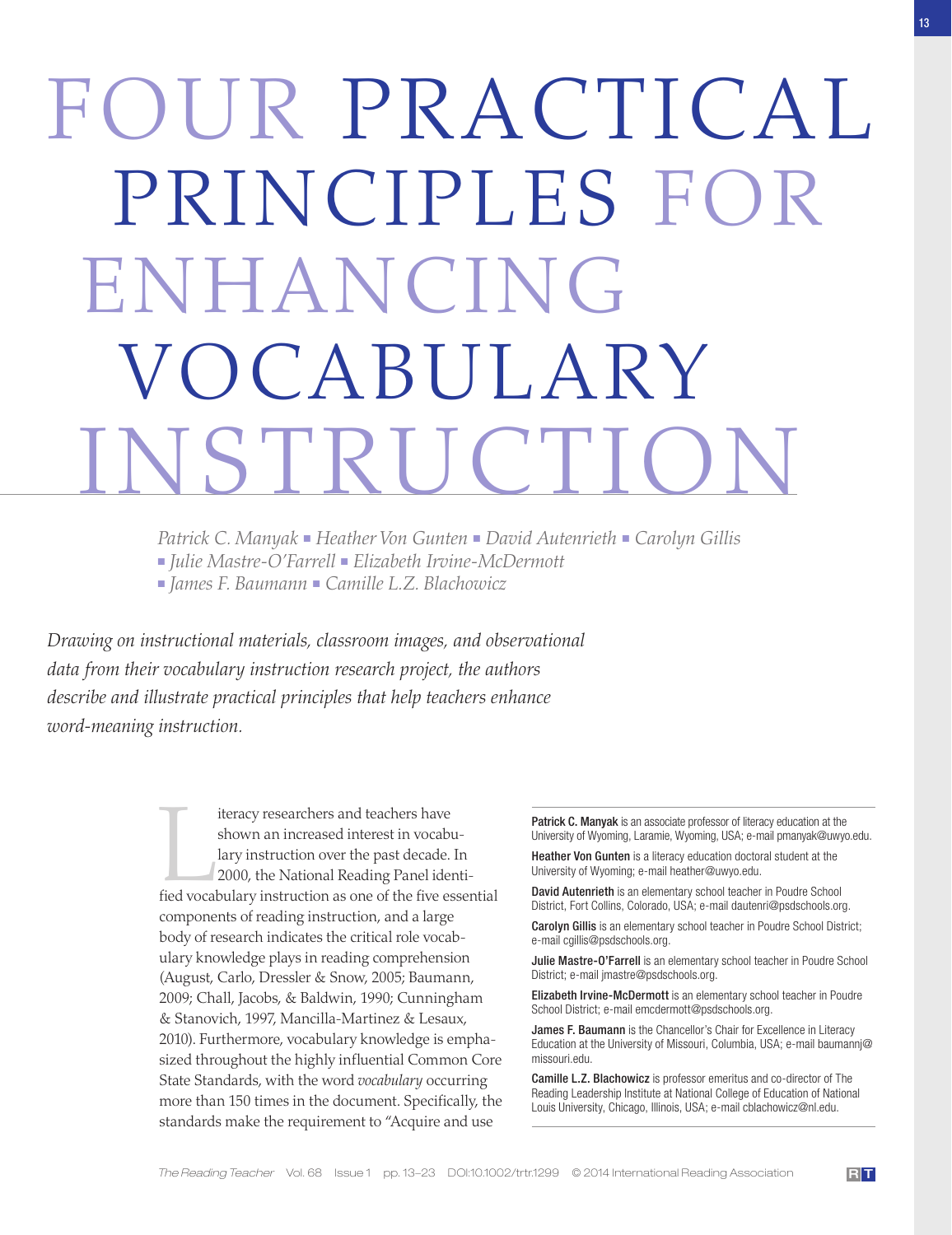# FOUR PRACTICAI. PRINCIPLES FOR ENHANCING VOCABULARY INSTRUCTION

 *Patrick C. Manyak* ■ *Heather Von Gunten* ■ *David Autenrieth* ■ *Carolyn Gillis* 

■ *Julie Mastre-O ' Farrell* ■ *Elizabeth Irvine-McDermott* 

■ *James F. Baumann* ■ *Camille L.Z. Blachowicz* 

 *Drawing on instructional materials, classroom images, and observational data from their vocabulary instruction research project, the authors describe and illustrate practical principles that help teachers enhance word- meaning instruction.* 

> iteracy researchers and teachers have<br>shown an increased interest in vocabu-<br>lary instruction over the past decade. In<br>2000, the National Reading Panel identi-<br>fied vocabulary instruction as one of the five essential shown an increased interest in vocabulary instruction over the past decade. In 2000, the National Reading Panel identicomponents of reading instruction, and a large body of research indicates the critical role vocabulary knowledge plays in reading comprehension (August, Carlo, Dressler & Snow, 2005; Baumann, 2009; Chall, Jacobs, & Baldwin, 1990; Cunningham & Stanovich, 1997 , Mancilla- Martinez & Lesaux, 2010). Furthermore, vocabulary knowledge is emphasized throughout the highly influential Common Core State Standards, with the word *vocabulary* occurring more than 150 times in the document. Specifically, the standards make the requirement to "Acquire and use

Patrick C. Manyak is an associate professor of literacy education at the University of Wyoming, Laramie, Wyoming, USA; e-mail pmanyak@uwyo.edu.

Heather Von Gunten is a literacy education doctoral student at the University of Wyoming; e-mail heather@uwyo.edu.

David Autenrieth is an elementary school teacher in Poudre School District, Fort Collins, Colorado, USA; e-mail dautenri@psdschools.org.

 Carolyn Gillis is an elementary school teacher in Poudre School District; e-mail cgillis@psdschools.org.

Julie Mastre-O'Farrell is an elementary school teacher in Poudre School District; e-mail jmastre@psdschools.org.

 Elizabeth Irvine-McDermott is an elementary school teacher in Poudre School District; e-mail emcdermott@psdschools.org.

James F. Baumann is the Chancellor's Chair for Excellence in Literacy Education at the University of Missouri, Columbia, USA; e- mail baumannj@ missouri.edu .

 Camille L.Z. Blachowicz is professor emeritus and co- director of The Reading Leadership Institute at National College of Education of National Louis University, Chicago, Illinois, USA; e-mail cblachowicz@nl.edu.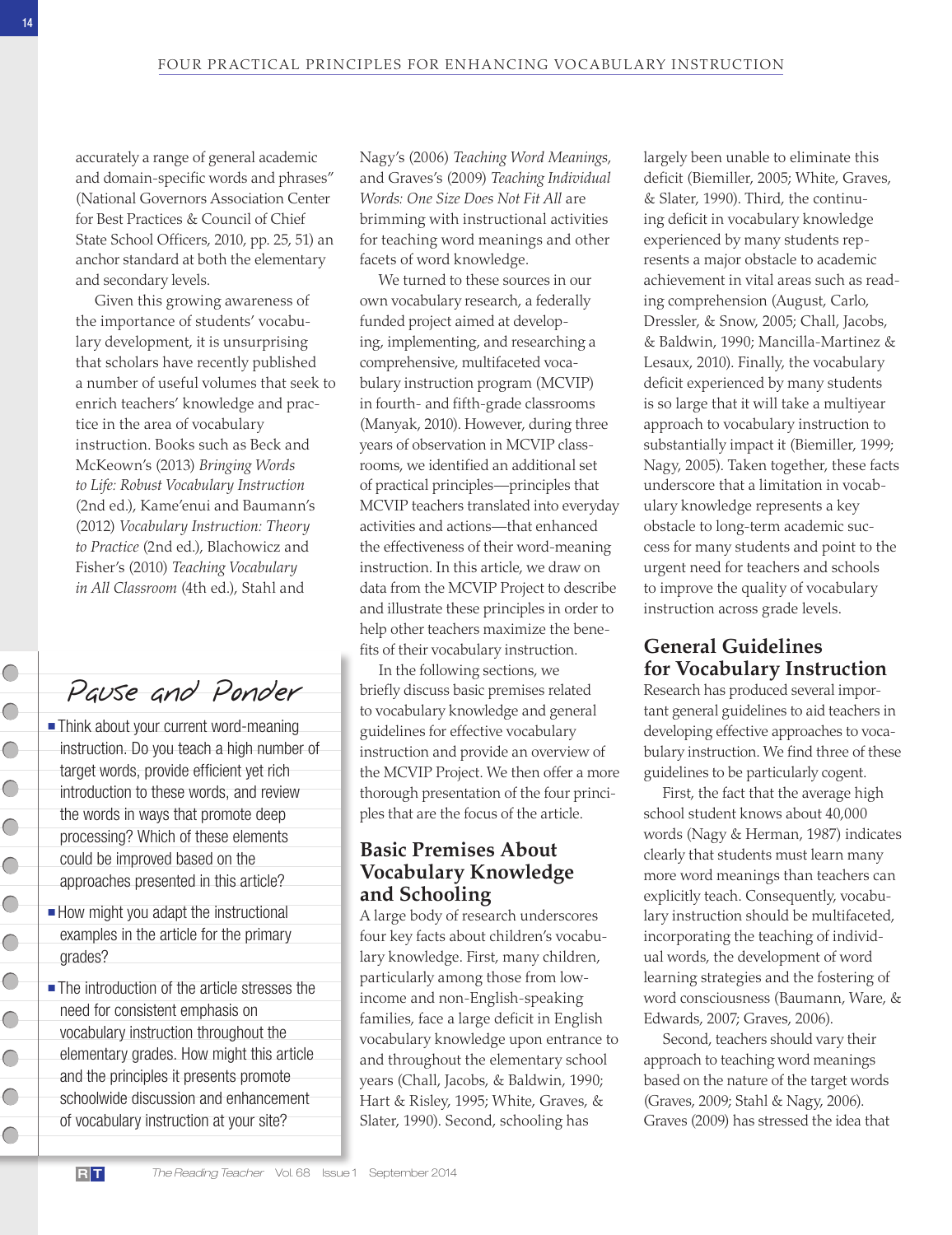accurately a range of general academic and domain- specific words and phrases" (National Governors Association Center for Best Practices & Council of Chief State School Officers, 2010, pp. 25, 51) an anchor standard at both the elementary and secondary levels.

14

 Given this growing awareness of the importance of students' vocabulary development, it is unsurprising that scholars have recently published a number of useful volumes that seek to enrich teachers' knowledge and practice in the area of vocabulary instruction. Books such as Beck and McKeown's (2013) Bringing Words *to Life: Robust Vocabulary Instruction* (2nd ed.), Kame' enui and Baumann's ( 2012 ) *Vocabulary Instruction: Theory to Practice* (2nd ed.), Blachowicz and Fisher's (2010) *Teaching Vocabulary in All Classroom* (4th ed.), Stahl and

Pause and Ponder

- Think about your current word-meaning instruction. Do you teach a high number of target words, provide efficient yet rich introduction to these words, and review the words in ways that promote deep processing? Which of these elements could be improved based on the approaches presented in this article?
- How might you adapt the instructional examples in the article for the primary grades?
- The introduction of the article stresses the need for consistent emphasis on vocabulary instruction throughout the elementary grades. How might this article and the principles it presents promote schoolwide discussion and enhancement of vocabulary instruction at your site?

Nagy's (2006) *Teaching Word Meanings*, and Graves's (2009) Teaching Individual *Words: One Size Does Not Fit All* are brimming with instructional activities for teaching word meanings and other facets of word knowledge.

 We turned to these sources in our own vocabulary research, a federally funded project aimed at developing, implementing, and researching a comprehensive, multifaceted vocabulary instruction program (MCVIP) in fourth- and fifth-grade classrooms (Manyak, 2010). However, during three years of observation in MCVIP classrooms, we identified an additional set of practical principles—principles that MCVIP teachers translated into everyday activities and actions—that enhanced the effectiveness of their word-meaning instruction. In this article, we draw on data from the MCVIP Project to describe and illustrate these principles in order to help other teachers maximize the benefits of their vocabulary instruction.

 In the following sections, we briefly discuss basic premises related to vocabulary knowledge and general guidelines for effective vocabulary instruction and provide an overview of the MCVIP Project. We then offer a more thorough presentation of the four principles that are the focus of the article.

## **Basic Premises About Vocabulary Knowledge and Schooling**

 A large body of research underscores four key facts about children's vocabulary knowledge. First, many children, particularly among those from lowincome and non-English-speaking families, face a large deficit in English vocabulary knowledge upon entrance to and throughout the elementary school years (Chall, Jacobs, & Baldwin, 1990; Hart & Risley, 1995; White, Graves, & Slater, 1990). Second, schooling has

largely been unable to eliminate this deficit (Biemiller, 2005; White, Graves, & Slater, 1990). Third, the continuing deficit in vocabulary knowledge experienced by many students represents a major obstacle to academic achievement in vital areas such as reading comprehension (August, Carlo, Dressler, & Snow, 2005; Chall, Jacobs, & Baldwin, 1990; Mancilla-Martinez & Lesaux, 2010). Finally, the vocabulary deficit experienced by many students is so large that it will take a multiyear approach to vocabulary instruction to substantially impact it (Biemiller, 1999; Nagy, 2005). Taken together, these facts underscore that a limitation in vocabulary knowledge represents a key obstacle to long- term academic success for many students and point to the urgent need for teachers and schools to improve the quality of vocabulary instruction across grade levels.

## **General Guidelines for Vocabulary Instruction**

 Research has produced several important general guidelines to aid teachers in developing effective approaches to vocabulary instruction. We find three of these guidelines to be particularly cogent.

 First, the fact that the average high school student knows about 40,000 words (Nagy & Herman, 1987) indicates clearly that students must learn many more word meanings than teachers can explicitly teach. Consequently, vocabulary instruction should be multifaceted, incorporating the teaching of individual words, the development of word learning strategies and the fostering of word consciousness (Baumann, Ware, & Edwards, 2007; Graves, 2006).

 Second, teachers should vary their approach to teaching word meanings based on the nature of the target words (Graves, 2009; Stahl & Nagy, 2006). Graves (2009) has stressed the idea that

 $\subset$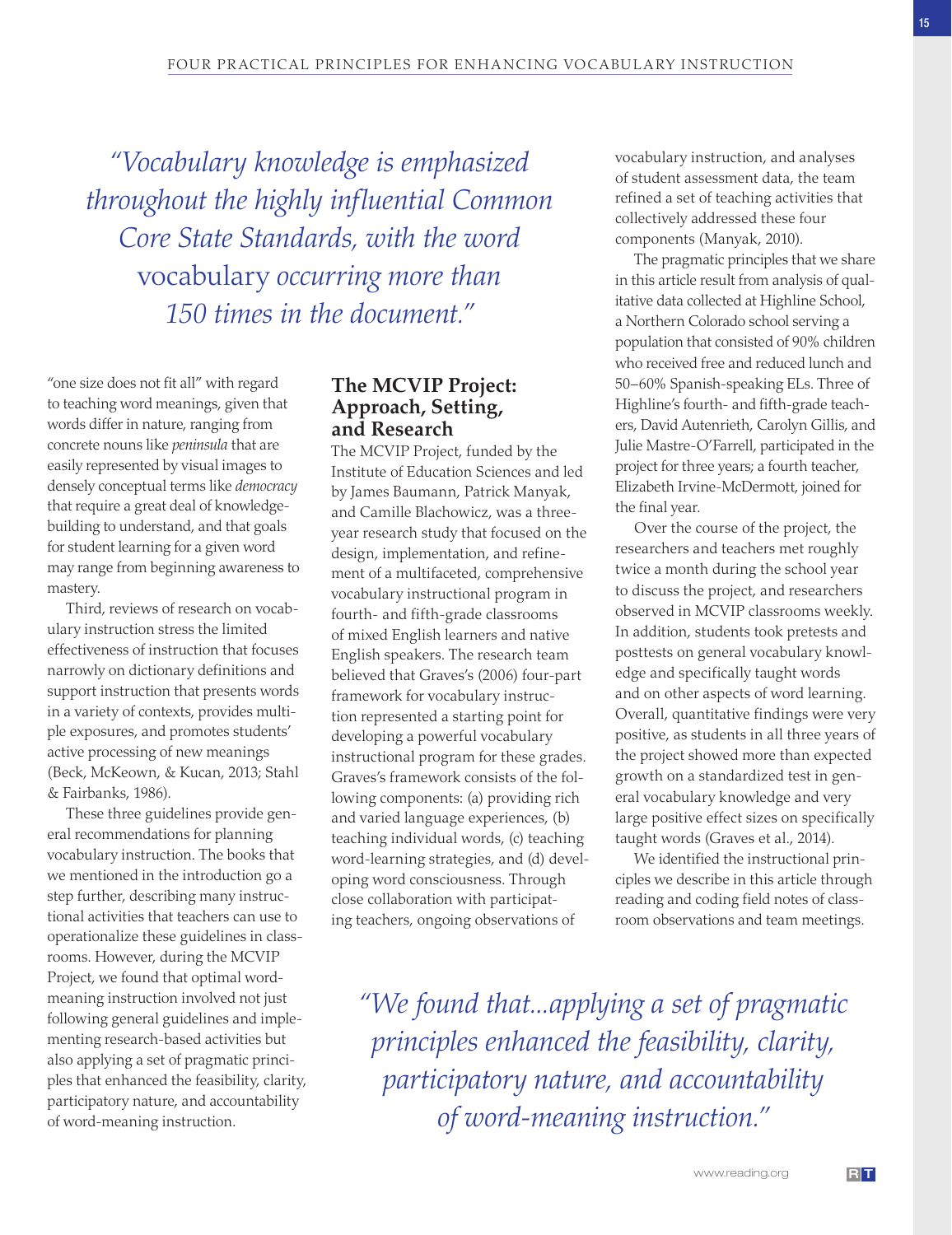*"Vocabulary knowledge is emphasized throughout the highly influential Common Core State Standards, with the word*  vocabulary *occurring more than 150 times in the document."* 

"one size does not fit all" with regard to teaching word meanings, given that words differ in nature, ranging from concrete nouns like *peninsula* that are easily represented by visual images to densely conceptual terms like *democracy* that require a great deal of knowledgebuilding to understand, and that goals for student learning for a given word may range from beginning awareness to mastery.

 Third, reviews of research on vocabulary instruction stress the limited effectiveness of instruction that focuses narrowly on dictionary definitions and support instruction that presents words in a variety of contexts, provides multiple exposures, and promotes students' active processing of new meanings (Beck, McKeown, & Kucan, 2013; Stahl & Fairbanks, 1986).

 These three guidelines provide general recommendations for planning vocabulary instruction. The books that we mentioned in the introduction go a step further, describing many instructional activities that teachers can use to operationalize these guidelines in classrooms. However, during the MCVIP Project, we found that optimal wordmeaning instruction involved not just following general guidelines and implementing research- based activities but also applying a set of pragmatic principles that enhanced the feasibility, clarity, participatory nature, and accountability of word- meaning instruction.

#### **The MCVIP Project: Approach, Setting, and Research**

 The MCVIP Project, funded by the Institute of Education Sciences and led by James Baumann, Patrick Manyak, and Camille Blachowicz, was a threeyear research study that focused on the design, implementation, and refinement of a multifaceted, comprehensive vocabulary instructional program in fourth- and fifth- grade classrooms of mixed English learners and native English speakers. The research team believed that Graves's (2006) four-part framework for vocabulary instruction represented a starting point for developing a powerful vocabulary instructional program for these grades. Graves's framework consists of the following components: (a) providing rich and varied language experiences, (b) teaching individual words, (c) teaching word-learning strategies, and (d) developing word consciousness. Through close collaboration with participating teachers, ongoing observations of

vocabulary instruction, and analyses of student assessment data, the team refined a set of teaching activities that collectively addressed these four components (Manyak, 2010).

 The pragmatic principles that we share in this article result from analysis of qualitative data collected at Highline School, a Northern Colorado school serving a population that consisted of 90% children who received free and reduced lunch and 50–60% Spanish- speaking ELs. Three of Highline's fourth- and fifth-grade teachers, David Autenrieth, Carolyn Gillis, and Julie Mastre-O'Farrell, participated in the project for three years; a fourth teacher, Elizabeth Irvine- McDermott, joined for the final year.

 Over the course of the project, the researchers and teachers met roughly twice a month during the school year to discuss the project, and researchers observed in MCVIP classrooms weekly. In addition, students took pretests and posttests on general vocabulary knowledge and specifically taught words and on other aspects of word learning. Overall, quantitative findings were very positive, as students in all three years of the project showed more than expected growth on a standardized test in general vocabulary knowledge and very large positive effect sizes on specifically taught words (Graves et al., 2014).

 We identified the instructional principles we describe in this article through reading and coding field notes of classroom observations and team meetings.

 *"We found that...applying a set of pragmatic principles enhanced the feasibility, clarity, participatory nature, and accountability of word-meaning instruction."*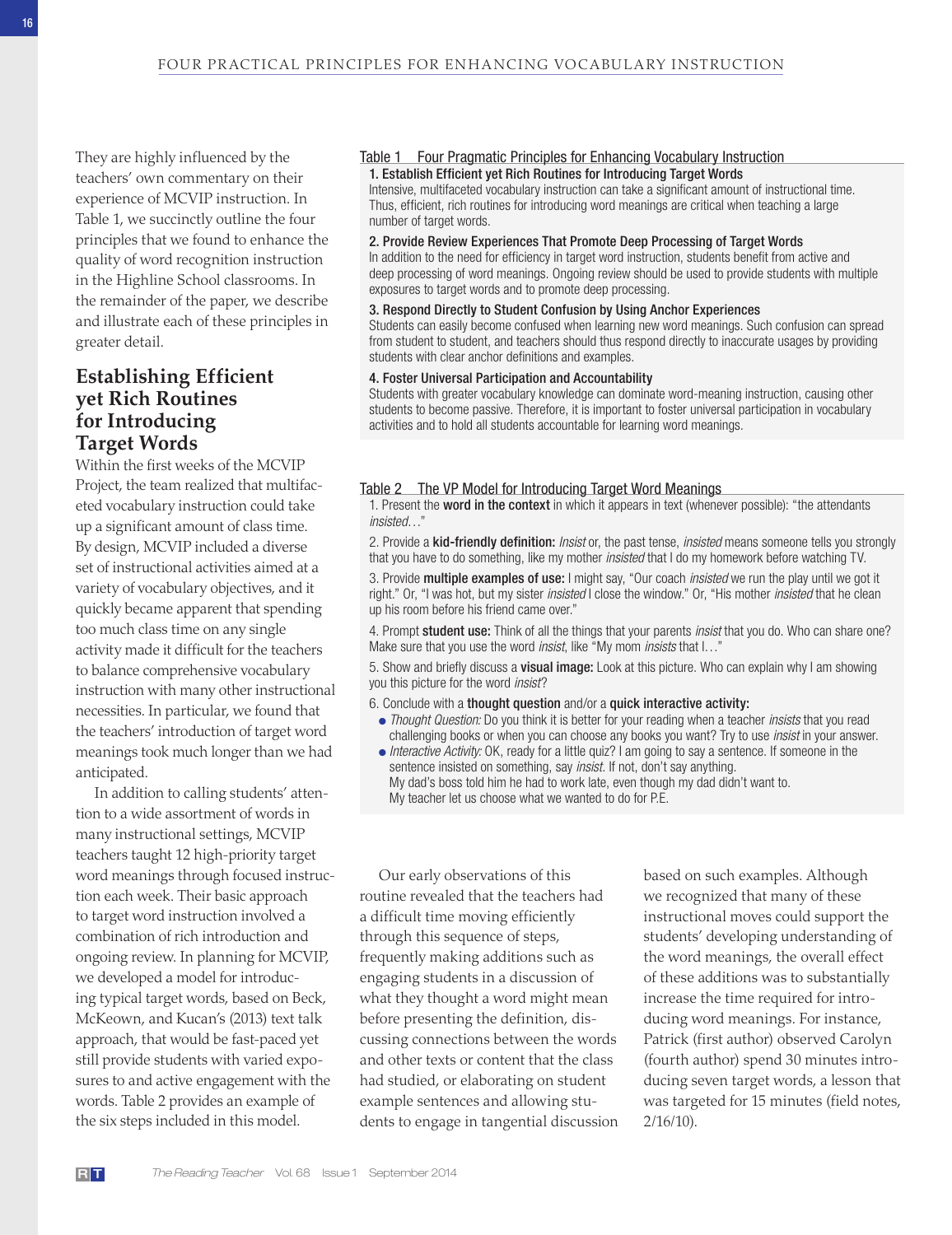They are highly influenced by the teachers' own commentary on their experience of MCVIP instruction. In Table 1, we succinctly outline the four principles that we found to enhance the quality of word recognition instruction in the Highline School classrooms. In the remainder of the paper, we describe and illustrate each of these principles in greater detail.

### **Establishing Efficient yet Rich Routines for Introducing Target Words**

 Within the first weeks of the MCVIP Project, the team realized that multifaceted vocabulary instruction could take up a significant amount of class time. By design, MCVIP included a diverse set of instructional activities aimed at a variety of vocabulary objectives, and it quickly became apparent that spending too much class time on any single activity made it difficult for the teachers to balance comprehensive vocabulary instruction with many other instructional necessities. In particular, we found that the teachers' introduction of target word meanings took much longer than we had anticipated.

 In addition to calling students' attention to a wide assortment of words in many instructional settings, MCVIP teachers taught 12 high- priority target word meanings through focused instruction each week. Their basic approach to target word instruction involved a combination of rich introduction and ongoing review. In planning for MCVIP, we developed a model for introducing typical target words, based on Beck, McKeown, and Kucan's (2013) text talk approach, that would be fast- paced yet still provide students with varied exposures to and active engagement with the words. Table 2 provides an example of the six steps included in this model.

#### 1. Establish Efficient yet Rich Routines for Introducing Target Words Table 1 Four Pragmatic Principles for Enhancing Vocabulary Instruction

Intensive, multifaceted vocabulary instruction can take a significant amount of instructional time. Thus, efficient, rich routines for introducing word meanings are critical when teaching a large number of target words.

#### 2. Provide Review Experiences That Promote Deep Processing of Target Words

In addition to the need for efficiency in target word instruction, students benefit from active and deep processing of word meanings. Ongoing review should be used to provide students with multiple exposures to target words and to promote deep processing.

#### 3. Respond Directly to Student Confusion by Using Anchor Experiences

Students can easily become confused when learning new word meanings. Such confusion can spread from student to student, and teachers should thus respond directly to inaccurate usages by providing students with clear anchor definitions and examples.

#### 4. Foster Universal Participation and Accountability

Students with greater vocabulary knowledge can dominate word-meaning instruction, causing other students to become passive. Therefore, it is important to foster universal participation in vocabulary activities and to hold all students accountable for learning word meanings.

#### Table 2 The VP Model for Introducing Target Word Meanings

1. Present the word in the context in which it appears in text (whenever possible): "the attendants *insisted* …"

 2 . Provide a kid-friendly definition: *Insist* or, the past tense, *insisted* means someone tells you strongly that you have to do something, like my mother *insisted* that I do my homework before watching TV.

 3 . Provide multiple examples of use: I might say, "Our coach *insisted* we run the play until we got it right." Or, "I was hot, but my sister *insisted* I close the window." Or, "His mother *insisted* that he clean up his room before his friend came over."

 4 . Prompt student use: Think of all the things that your parents *insist* that you do. Who can share one? Make sure that you use the word *insist*, like "My mom *insists* that I..."

5. Show and briefly discuss a **visual image:** Look at this picture. Who can explain why I am showing you this picture for the word *insist*?

6 . Conclude with a thought question and/or a quick interactive activity:

- *Thought Question:* Do you think it is better for your reading when a teacher *insists* that you read challenging books or when you can choose any books you want? Try to use *insist* in your answer.
- *Interactive Activity:* OK, ready for a little quiz? I am going to say a sentence. If someone in the sentence insisted on something, say *insist*. If not, don't say anything. My dad's boss told him he had to work late, even though my dad didn't want to.

My teacher let us choose what we wanted to do for P.E.

 Our early observations of this routine revealed that the teachers had a difficult time moving efficiently through this sequence of steps, frequently making additions such as engaging students in a discussion of what they thought a word might mean before presenting the definition, discussing connections between the words and other texts or content that the class had studied, or elaborating on student example sentences and allowing students to engage in tangential discussion

based on such examples. Although we recognized that many of these instructional moves could support the students' developing understanding of the word meanings, the overall effect of these additions was to substantially increase the time required for introducing word meanings. For instance, Patrick (first author) observed Carolyn (fourth author) spend 30 minutes introducing seven target words, a lesson that was targeted for 15 minutes (field notes, 2/16/10).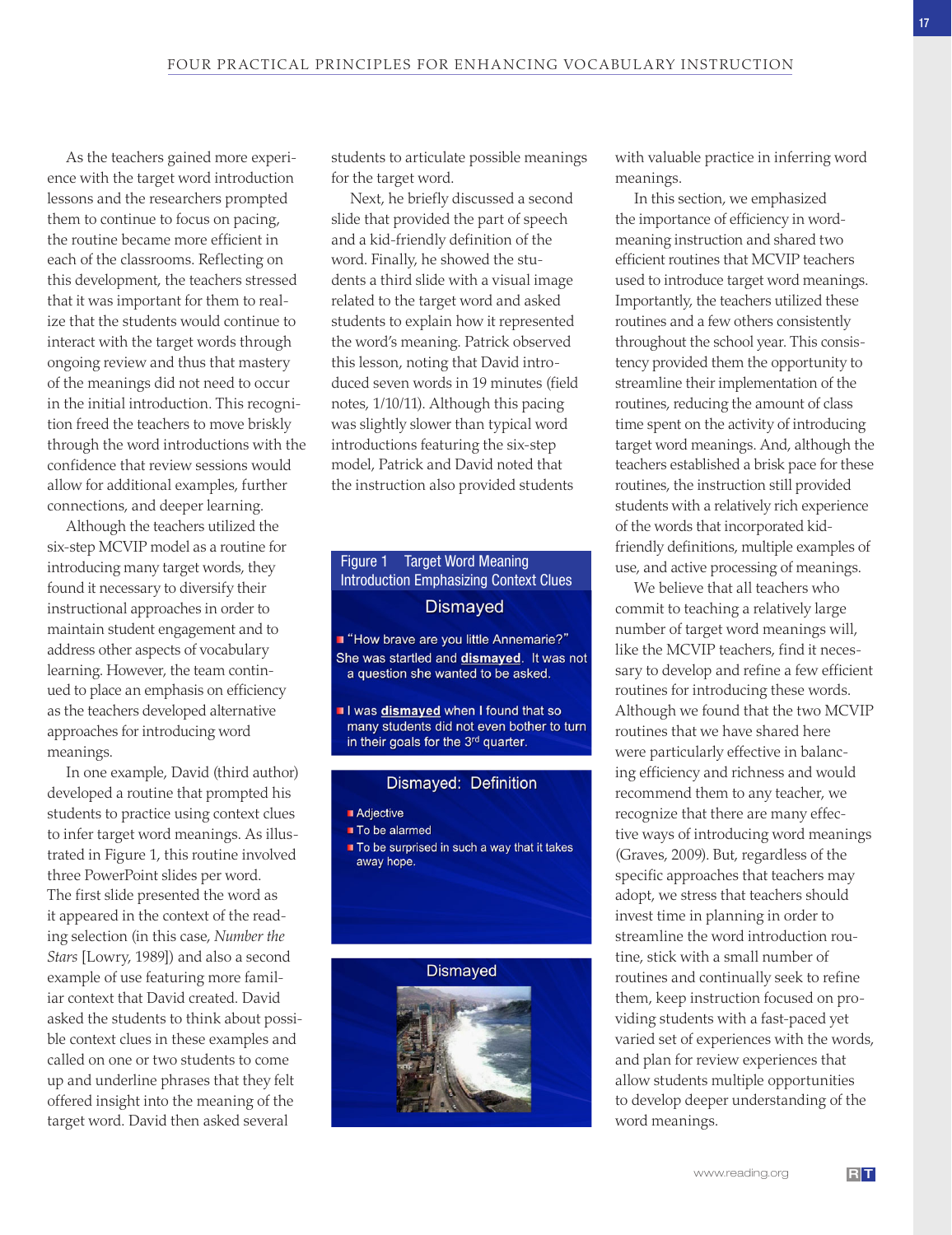As the teachers gained more experience with the target word introduction lessons and the researchers prompted them to continue to focus on pacing, the routine became more efficient in each of the classrooms. Reflecting on this development, the teachers stressed that it was important for them to realize that the students would continue to interact with the target words through ongoing review and thus that mastery of the meanings did not need to occur in the initial introduction. This recognition freed the teachers to move briskly through the word introductions with the confidence that review sessions would allow for additional examples, further connections, and deeper learning.

 Although the teachers utilized the six- step MCVIP model as a routine for introducing many target words, they found it necessary to diversify their instructional approaches in order to maintain student engagement and to address other aspects of vocabulary learning. However, the team continued to place an emphasis on efficiency as the teachers developed alternative approaches for introducing word meanings.

 In one example, David (third author) developed a routine that prompted his students to practice using context clues to infer target word meanings. As illustrated in Figure 1, this routine involved three PowerPoint slides per word. The first slide presented the word as it appeared in the context of the reading selection (in this case, *Number the Stars* [Lowry, 1989]) and also a second example of use featuring more familiar context that David created. David asked the students to think about possible context clues in these examples and called on one or two students to come up and underline phrases that they felt offered insight into the meaning of the target word. David then asked several

students to articulate possible meanings for the target word.

 Next, he briefly discussed a second slide that provided the part of speech and a kid-friendly definition of the word. Finally, he showed the students a third slide with a visual image related to the target word and asked students to explain how it represented the word's meaning. Patrick observed this lesson, noting that David introduced seven words in 19 minutes (field notes, 1/10/11). Although this pacing was slightly slower than typical word introductions featuring the six-step model, Patrick and David noted that the instruction also provided students

#### Figure 1 Target Word Meaning Introduction Emphasizing Context Clues **Dismayed**

"How brave are you little Annemarie?" She was startled and dismayed. It was not a question she wanted to be asked.

I was dismayed when I found that so many students did not even bother to turn in their goals for the 3rd quarter.

#### Dismayed: Definition

- Adjective
- **To be alarmed**
- To be surprised in such a way that it takes away hope.



with valuable practice in inferring word meanings.

 In this section, we emphasized the importance of efficiency in wordmeaning instruction and shared two efficient routines that MCVIP teachers used to introduce target word meanings. Importantly, the teachers utilized these routines and a few others consistently throughout the school year. This consistency provided them the opportunity to streamline their implementation of the routines, reducing the amount of class time spent on the activity of introducing target word meanings. And, although the teachers established a brisk pace for these routines, the instruction still provided students with a relatively rich experience of the words that incorporated kidfriendly definitions, multiple examples of use, and active processing of meanings.

 We believe that all teachers who commit to teaching a relatively large number of target word meanings will, like the MCVIP teachers, find it necessary to develop and refine a few efficient routines for introducing these words. Although we found that the two MCVIP routines that we have shared here were particularly effective in balancing efficiency and richness and would recommend them to any teacher, we recognize that there are many effective ways of introducing word meanings (Graves, 2009). But, regardless of the specific approaches that teachers may adopt, we stress that teachers should invest time in planning in order to streamline the word introduction routine, stick with a small number of routines and continually seek to refine them, keep instruction focused on providing students with a fast-paced yet varied set of experiences with the words, and plan for review experiences that allow students multiple opportunities to develop deeper understanding of the word meanings.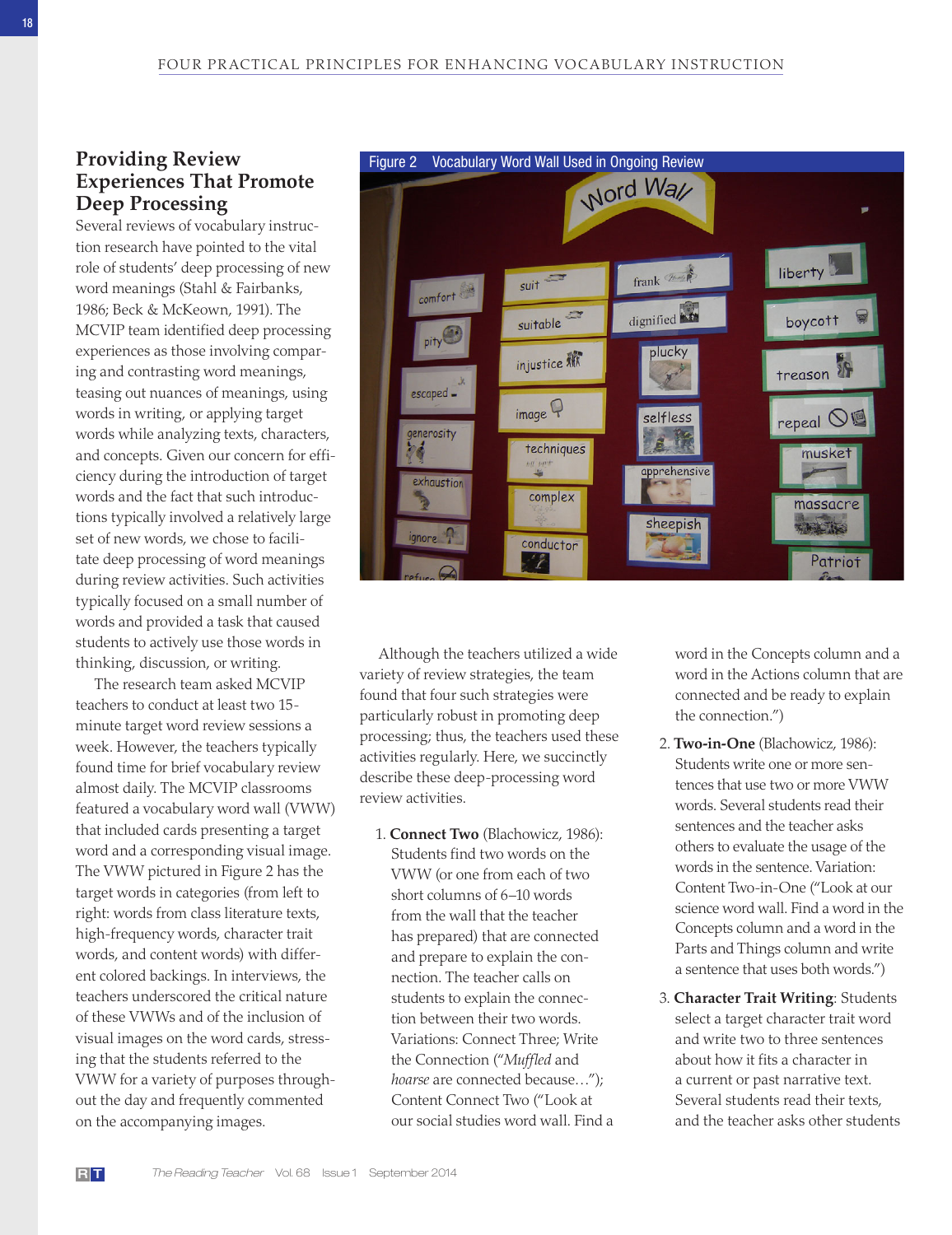## **Providing Review Experiences That Promote Deep Processing**

 Several reviews of vocabulary instruction research have pointed to the vital role of students' deep processing of new word meanings (Stahl & Fairbanks, 1986; Beck & McKeown, 1991). The MCVIP team identified deep processing experiences as those involving comparing and contrasting word meanings, teasing out nuances of meanings, using words in writing, or applying target words while analyzing texts, characters, and concepts. Given our concern for efficiency during the introduction of target words and the fact that such introductions typically involved a relatively large set of new words, we chose to facilitate deep processing of word meanings during review activities. Such activities typically focused on a small number of words and provided a task that caused students to actively use those words in thinking, discussion, or writing.

 The research team asked MCVIP teachers to conduct at least two 15 minute target word review sessions a week. However, the teachers typically found time for brief vocabulary review almost daily. The MCVIP classrooms featured a vocabulary word wall (VWW) that included cards presenting a target word and a corresponding visual image. The VWW pictured in Figure 2 has the target words in categories (from left to right: words from class literature texts, high- frequency words, character trait words, and content words) with different colored backings. In interviews, the teachers underscored the critical nature of these VWWs and of the inclusion of visual images on the word cards, stressing that the students referred to the VWW for a variety of purposes throughout the day and frequently commented on the accompanying images.



 Although the teachers utilized a wide variety of review strategies, the team found that four such strategies were particularly robust in promoting deep processing; thus, the teachers used these activities regularly. Here, we succinctly describe these deep-processing word review activities.

1. **Connect Two** (Blachowicz, 1986): Students find two words on the VWW (or one from each of two short columns of 6–10 words from the wall that the teacher has prepared) that are connected and prepare to explain the connection. The teacher calls on students to explain the connection between their two words. Variations: Connect Three; Write the Connection (" *Muffled* and *hoarse* are connected because…"); Content Connect Two ("Look at our social studies word wall. Find a word in the Concepts column and a word in the Actions column that are connected and be ready to explain the connection.")

- 2. **Two-in-One** (Blachowicz, 1986): Students write one or more sentences that use two or more VWW words. Several students read their sentences and the teacher asks others to evaluate the usage of the words in the sentence. Variation: Content Two-in-One ("Look at our science word wall. Find a word in the Concepts column and a word in the Parts and Things column and write a sentence that uses both words.")
- 3 . **Character Trait Writing**: Students select a target character trait word and write two to three sentences about how it fits a character in a current or past narrative text. Several students read their texts, and the teacher asks other students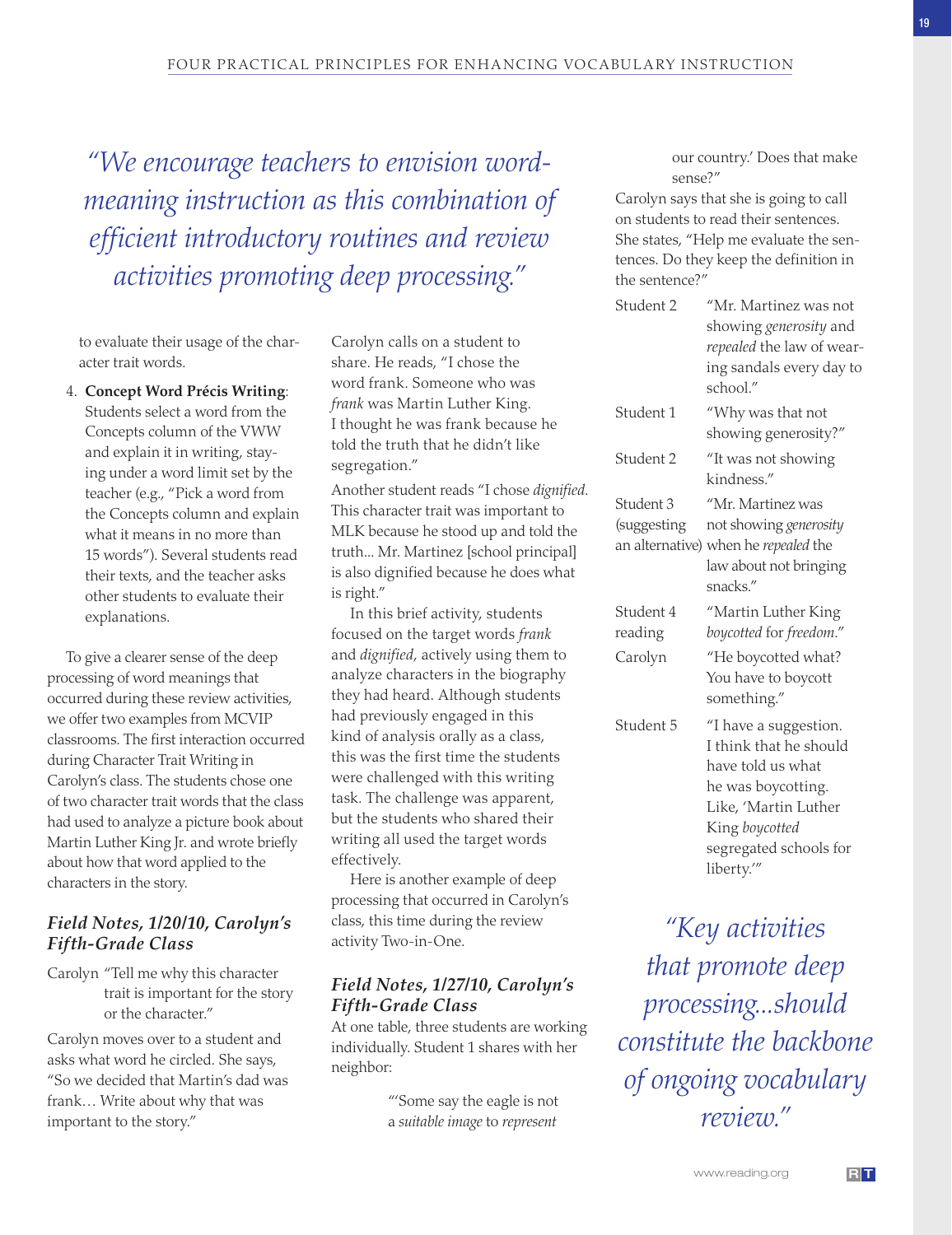*"We encourage teachers to envision wordmeaning instruction as this combination of efficient introductory routines and review activities promoting deep processing."* 

to evaluate their usage of the character trait words.

 4 . **Concept Word Précis Writing**: Students select a word from the Concepts column of the VWW and explain it in writing, staying under a word limit set by the teacher (e.g., "Pick a word from the Concepts column and explain what it means in no more than 15 words"). Several students read their texts, and the teacher asks other students to evaluate their explanations.

 To give a clearer sense of the deep processing of word meanings that occurred during these review activities, we offer two examples from MCVIP classrooms. The first interaction occurred during Character Trait Writing in Carolyn's class. The students chose one of two character trait words that the class had used to analyze a picture book about Martin Luther King Jr. and wrote briefly about how that word applied to the characters in the story.

## *Field Notes, 1/20/10, Carolyn ' s Fifth- Grade Class*

 Carolyn "Tell me why this character trait is important for the story or the character."

 Carolyn moves over to a student and asks what word he circled. She says, "So we decided that Martin's dad was frank… Write about why that was important to the story."

 Carolyn calls on a student to share. He reads, "I chose the word frank. Someone who was *frank* was Martin Luther King. I thought he was frank because he told the truth that he didn't like segregation."

 Another student reads "I chose *dignified* . This character trait was important to MLK because he stood up and told the truth... Mr. Martinez [school principal] is also dignified because he does what is right."

 In this brief activity, students focused on the target words *frank* and *dignified*, actively using them to analyze characters in the biography they had heard. Although students had previously engaged in this kind of analysis orally as a class, this was the first time the students were challenged with this writing task. The challenge was apparent, but the students who shared their writing all used the target words effectively.

 Here is another example of deep processing that occurred in Carolyn's class, this time during the review activity Two-in-One.

## *Field Notes, 1/27/10, Carolyn ' s Fifth- Grade Class*

 At one table, three students are working individually. Student 1 shares with her neighbor:

> "'Some say the eagle is not a *suitable image* to *represent*

our country.' Does that make sense?"

 Carolyn says that she is going to call on students to read their sentences. She states, "Help me evaluate the sentences. Do they keep the definition in the sentence?"

| Student 2                       | "Mr. Martinez was not<br>showing <i>generosity</i> and<br><i>repealed</i> the law of wear-<br>ing sandals every day to<br>school."                                          |
|---------------------------------|-----------------------------------------------------------------------------------------------------------------------------------------------------------------------------|
| Student 1                       | "Why was that not<br>showing generosity?"                                                                                                                                   |
| Student <sub>2</sub>            | "It was not showing<br>kindness."                                                                                                                                           |
| Student 3<br>(suggesting        | "Mr. Martinez was<br>not showing generosity<br>an alternative) when he repealed the<br>law about not bringing<br>snacks."                                                   |
| Student 4<br>reading<br>Carolyn | "Martin Luther King<br>boycotted for freedom."<br>"He boycotted what?                                                                                                       |
|                                 | You have to boycott<br>something."                                                                                                                                          |
| Student 5                       | "I have a suggestion.<br>I think that he should<br>have told us what<br>he was boycotting.<br>Like, 'Martin Luther<br>King boycotted<br>segregated schools for<br>liberty." |

 *"Key activities that promote deep processing...should constitute the backbone of ongoing vocabulary review."*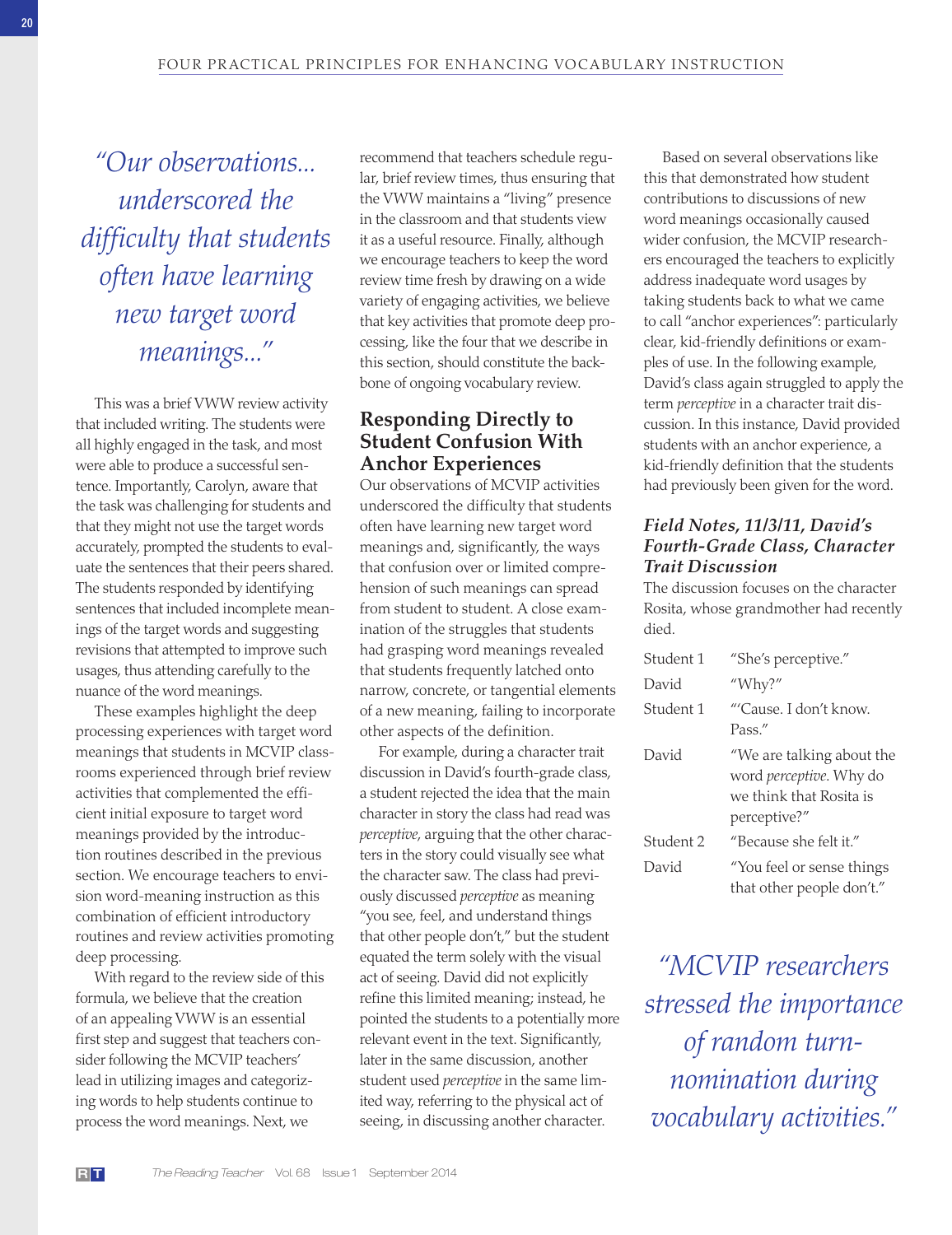*"Our observations... underscored the difficulty that students often have learning new target word meanings..."* 

 This was a brief VWW review activity that included writing. The students were all highly engaged in the task, and most were able to produce a successful sentence. Importantly, Carolyn, aware that the task was challenging for students and that they might not use the target words accurately, prompted the students to evaluate the sentences that their peers shared. The students responded by identifying sentences that included incomplete meanings of the target words and suggesting revisions that attempted to improve such usages, thus attending carefully to the nuance of the word meanings.

 These examples highlight the deep processing experiences with target word meanings that students in MCVIP classrooms experienced through brief review activities that complemented the efficient initial exposure to target word meanings provided by the introduction routines described in the previous section. We encourage teachers to envision word- meaning instruction as this combination of efficient introductory routines and review activities promoting deep processing.

 With regard to the review side of this formula, we believe that the creation of an appealing VWW is an essential first step and suggest that teachers consider following the MCVIP teachers' lead in utilizing images and categorizing words to help students continue to process the word meanings. Next, we

recommend that teachers schedule regular, brief review times, thus ensuring that the VWW maintains a "living" presence in the classroom and that students view it as a useful resource. Finally, although we encourage teachers to keep the word review time fresh by drawing on a wide variety of engaging activities, we believe that key activities that promote deep processing, like the four that we describe in this section, should constitute the backbone of ongoing vocabulary review.

### **Responding Directly to Student Confusion With Anchor Experiences**

 Our observations of MCVIP activities underscored the difficulty that students often have learning new target word meanings and, significantly, the ways that confusion over or limited comprehension of such meanings can spread from student to student. A close examination of the struggles that students had grasping word meanings revealed that students frequently latched onto narrow, concrete, or tangential elements of a new meaning, failing to incorporate other aspects of the definition.

 For example, during a character trait discussion in David's fourth-grade class, a student rejected the idea that the main character in story the class had read was *perceptive*, arguing that the other characters in the story could visually see what the character saw. The class had previously discussed *perceptive* as meaning "you see, feel, and understand things that other people don't," but the student equated the term solely with the visual act of seeing. David did not explicitly refine this limited meaning; instead, he pointed the students to a potentially more relevant event in the text. Significantly, later in the same discussion, another student used *perceptive* in the same limited way, referring to the physical act of seeing, in discussing another character.

 Based on several observations like this that demonstrated how student contributions to discussions of new word meanings occasionally caused wider confusion, the MCVIP researchers encouraged the teachers to explicitly address inadequate word usages by taking students back to what we came to call "anchor experiences": particularly clear, kid- friendly definitions or examples of use. In the following example, David's class again struggled to apply the term *perceptive* in a character trait discussion. In this instance, David provided students with an anchor experience, a kid- friendly definition that the students had previously been given for the word.

#### *Field Notes, 11/3/11, David ' s Fourth- Grade Class, Character Trait Discussion*

 The discussion focuses on the character Rosita, whose grandmother had recently died.

| Student 1 | "She's perceptive."                                                                                     |
|-----------|---------------------------------------------------------------------------------------------------------|
| David     | "Why?"                                                                                                  |
| Student 1 | "'Cause. I don't know.<br>Pass."                                                                        |
| David     | "We are talking about the<br>word <i>perceptive</i> . Why do<br>we think that Rosita is<br>perceptive?" |
| Student 2 | "Because she felt it."                                                                                  |
| David     | "You feel or sense things<br>that other people don't."                                                  |

 *"MCVIP researchers stressed the importance of random turnnomination during vocabulary activities."*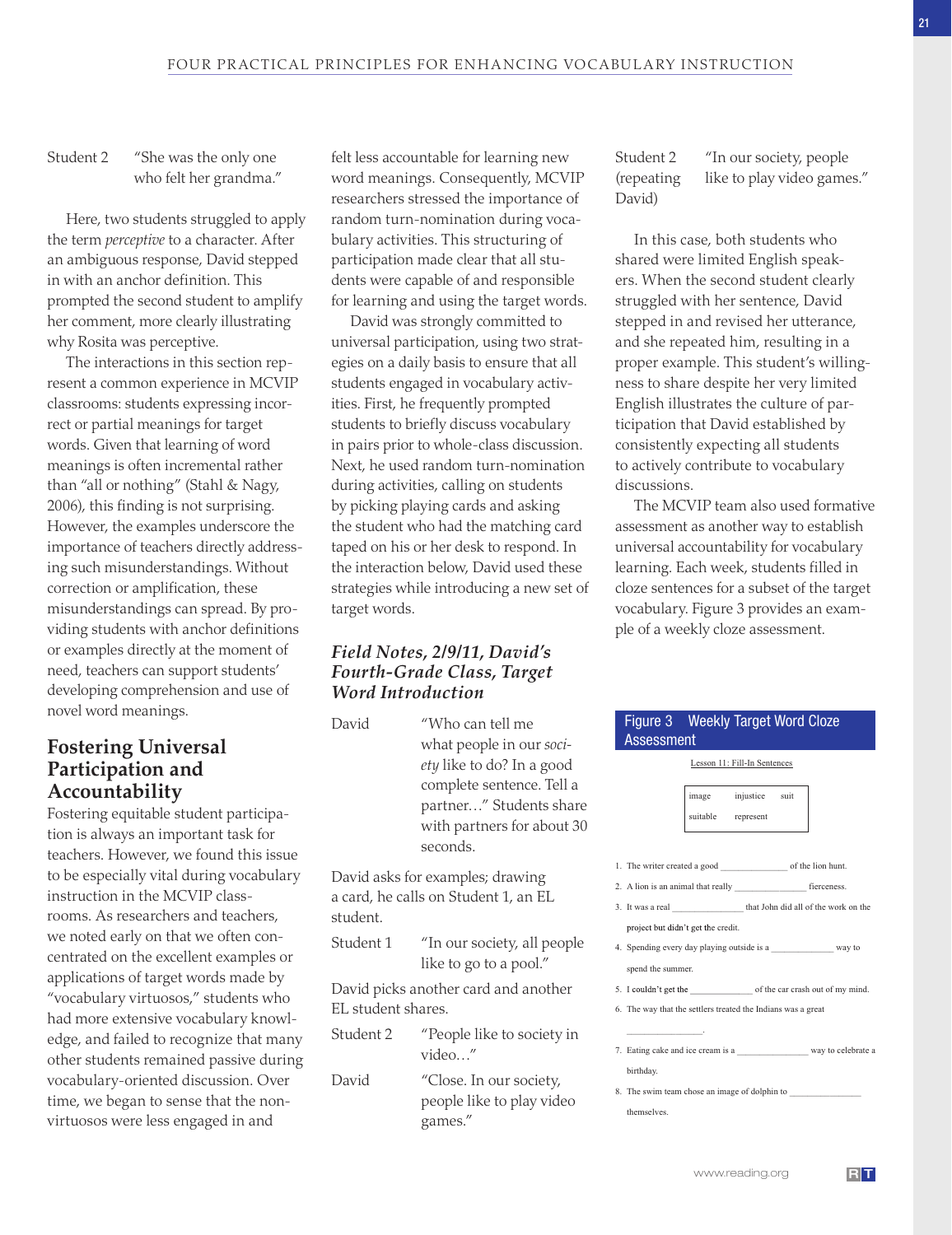Student 2 "She was the only one who felt her grandma."

 Here, two students struggled to apply the term *perceptive* to a character. After an ambiguous response, David stepped in with an anchor definition. This prompted the second student to amplify her comment, more clearly illustrating why Rosita was perceptive.

 The interactions in this section represent a common experience in MCVIP classrooms: students expressing incorrect or partial meanings for target words. Given that learning of word meanings is often incremental rather than "all or nothing" (Stahl & Nagy, 2006), this finding is not surprising. However, the examples underscore the importance of teachers directly addressing such misunderstandings. Without correction or amplification, these misunderstandings can spread. By providing students with anchor definitions or examples directly at the moment of need, teachers can support students' developing comprehension and use of novel word meanings.

## **Fostering Universal Participation and Accountability**

 Fostering equitable student participation is always an important task for teachers. However, we found this issue to be especially vital during vocabulary instruction in the MCVIP classrooms. As researchers and teachers, we noted early on that we often concentrated on the excellent examples or applications of target words made by "vocabulary virtuosos," students who had more extensive vocabulary knowledge, and failed to recognize that many other students remained passive during vocabulary- oriented discussion. Over time, we began to sense that the nonvirtuosos were less engaged in and

felt less accountable for learning new word meanings. Consequently, MCVIP researchers stressed the importance of random turn-nomination during vocabulary activities. This structuring of participation made clear that all students were capable of and responsible for learning and using the target words.

 David was strongly committed to universal participation, using two strategies on a daily basis to ensure that all students engaged in vocabulary activities. First, he frequently prompted students to briefly discuss vocabulary in pairs prior to whole- class discussion. Next, he used random turn-nomination during activities, calling on students by picking playing cards and asking the student who had the matching card taped on his or her desk to respond. In the interaction below, David used these strategies while introducing a new set of target words.

#### *Field Notes, 2/9/11, David ' s Fourth- Grade Class, Target Word Introduction*

David "Who can tell me what people in our *society* like to do? In a good complete sentence. Tell a partner…" Students share with partners for about 30 seconds.

David asks for examples; drawing a card, he calls on Student 1, an EL student.

Student 1 "In our society, all people like to go to a pool."

David picks another card and another EL student shares.

- Student 2 "People like to society in video…"
- David "Close. In our society, people like to play video games."

Student 2 "In our society, people (repeating like to play video games." David)

 In this case, both students who shared were limited English speakers. When the second student clearly struggled with her sentence, David stepped in and revised her utterance, and she repeated him, resulting in a proper example. This student's willingness to share despite her very limited English illustrates the culture of participation that David established by consistently expecting all students to actively contribute to vocabulary discussions.

 The MCVIP team also used formative assessment as another way to establish universal accountability for vocabulary learning. Each week, students filled in cloze sentences for a subset of the target vocabulary. Figure 3 provides an example of a weekly cloze assessment.

| Figure 3 Weekly Target Word Cloze<br>Assessment                            |                    |                      |  |  |  |  |  |
|----------------------------------------------------------------------------|--------------------|----------------------|--|--|--|--|--|
| Lesson 11: Fill-In Sentences                                               |                    |                      |  |  |  |  |  |
|                                                                            | suitable represent | image injustice suit |  |  |  |  |  |
| 1. The writer created a good _______________________ of the lion hunt.     |                    |                      |  |  |  |  |  |
|                                                                            |                    |                      |  |  |  |  |  |
| 3. It was a real that John did all of the work on the                      |                    |                      |  |  |  |  |  |
| project but didn't get the credit.                                         |                    |                      |  |  |  |  |  |
| 4. Spending every day playing outside is a                                 |                    |                      |  |  |  |  |  |
| spend the summer.                                                          |                    |                      |  |  |  |  |  |
|                                                                            |                    |                      |  |  |  |  |  |
| 6. The way that the settlers treated the Indians was a great               |                    |                      |  |  |  |  |  |
|                                                                            |                    |                      |  |  |  |  |  |
| 7. Eating cake and ice cream is a _____________________ way to celebrate a |                    |                      |  |  |  |  |  |
| birthday.                                                                  |                    |                      |  |  |  |  |  |
| 8. The swim team chose an image of dolphin to                              |                    |                      |  |  |  |  |  |
| themselves.                                                                |                    |                      |  |  |  |  |  |
|                                                                            |                    |                      |  |  |  |  |  |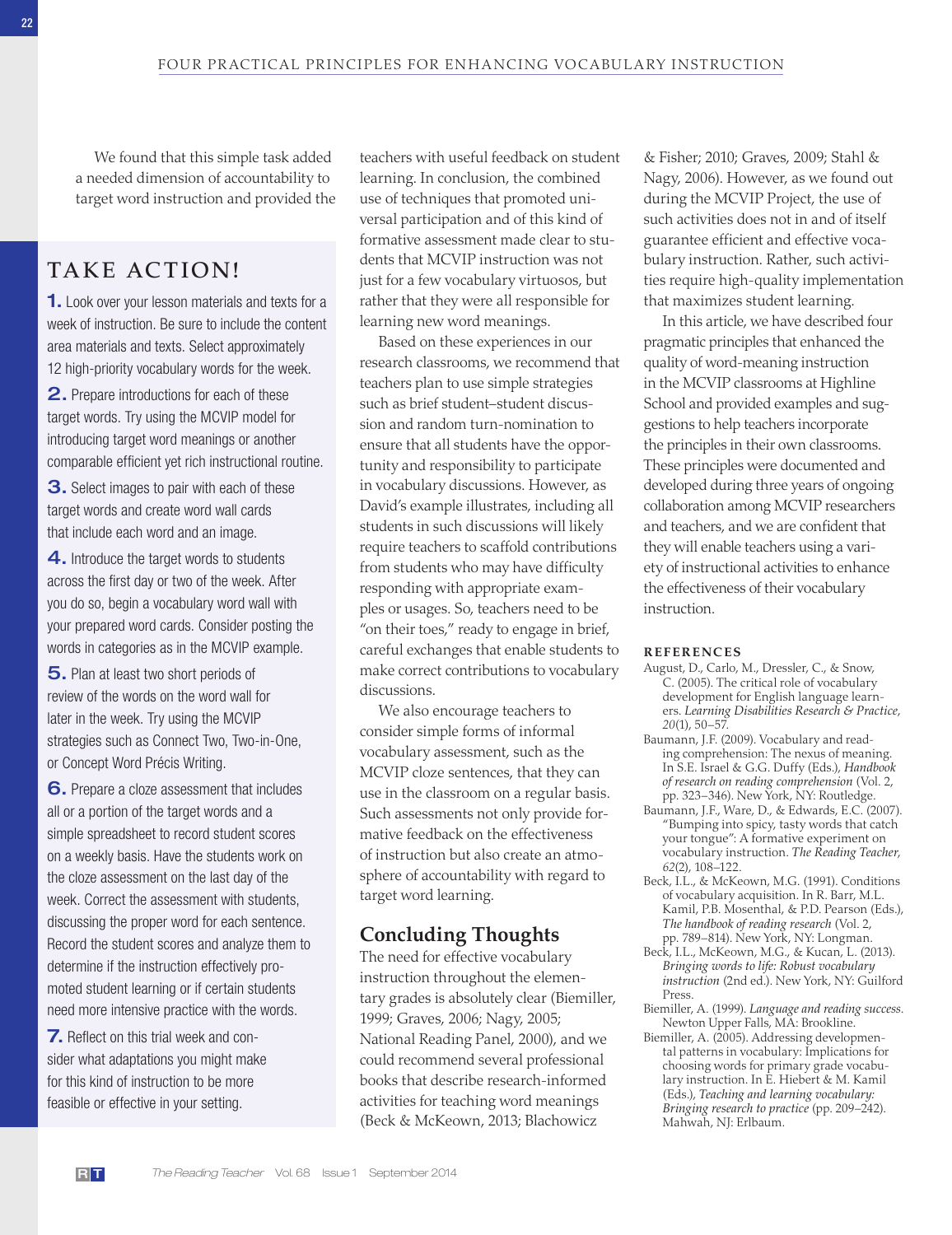We found that this simple task added a needed dimension of accountability to target word instruction and provided the

## **TAKE ACTION!**

**1.** Look over your lesson materials and texts for a week of instruction. Be sure to include the content area materials and texts. Select approximately 12 high-priority vocabulary words for the week.

2. Prepare introductions for each of these target words. Try using the MCVIP model for introducing target word meanings or another comparable efficient yet rich instructional routine.

**3.** Select images to pair with each of these target words and create word wall cards that include each word and an image.

4. Introduce the target words to students across the first day or two of the week. After you do so, begin a vocabulary word wall with your prepared word cards. Consider posting the words in categories as in the MCVIP example.

5 . Plan at least two short periods of review of the words on the word wall for later in the week. Try using the MCVIP strategies such as Connect Two, Two-in-One, or Concept Word Précis Writing.

6. Prepare a cloze assessment that includes all or a portion of the target words and a simple spreadsheet to record student scores on a weekly basis. Have the students work on the cloze assessment on the last day of the week. Correct the assessment with students, discussing the proper word for each sentence. Record the student scores and analyze them to determine if the instruction effectively promoted student learning or if certain students need more intensive practice with the words.

**7.** Reflect on this trial week and consider what adaptations you might make for this kind of instruction to be more feasible or effective in your setting.

teachers with useful feedback on student learning. In conclusion, the combined use of techniques that promoted universal participation and of this kind of formative assessment made clear to students that MCVIP instruction was not just for a few vocabulary virtuosos, but rather that they were all responsible for learning new word meanings.

 Based on these experiences in our research classrooms, we recommend that teachers plan to use simple strategies such as brief student–student discussion and random turn- nomination to ensure that all students have the opportunity and responsibility to participate in vocabulary discussions. However, as David's example illustrates, including all students in such discussions will likely require teachers to scaffold contributions from students who may have difficulty responding with appropriate examples or usages. So, teachers need to be "on their toes," ready to engage in brief, careful exchanges that enable students to make correct contributions to vocabulary discussions.

 We also encourage teachers to consider simple forms of informal vocabulary assessment, such as the MCVIP cloze sentences, that they can use in the classroom on a regular basis. Such assessments not only provide formative feedback on the effectiveness of instruction but also create an atmosphere of accountability with regard to target word learning.

### **Concluding Thoughts**

 The need for effective vocabulary instruction throughout the elementary grades is absolutely clear (Biemiller, 1999; Graves, 2006; Nagy, 2005; National Reading Panel, 2000), and we could recommend several professional books that describe research- informed activities for teaching word meanings (Beck & McKeown, 2013; Blachowicz

& Fisher; 2010; Graves, 2009; Stahl & Nagy, 2006). However, as we found out during the MCVIP Project, the use of such activities does not in and of itself guarantee efficient and effective vocabulary instruction. Rather, such activities require high- quality implementation that maximizes student learning.

 In this article, we have described four pragmatic principles that enhanced the quality of word- meaning instruction in the MCVIP classrooms at Highline School and provided examples and suggestions to help teachers incorporate the principles in their own classrooms. These principles were documented and developed during three years of ongoing collaboration among MCVIP researchers and teachers, and we are confident that they will enable teachers using a variety of instructional activities to enhance the effectiveness of their vocabulary instruction.

#### **RE F ERENC ES**

- August, D., Carlo, M., Dressler, C., & Snow, C. (2005). The critical role of vocabulary development for English language learners . *Learning Disabilities Research & Practice* , *20*(1), 50-57.
- Baumann, J.F. (2009). Vocabulary and reading comprehension: The nexus of meaning. In S.E. Israel & G.G. Duffy (Eds.), *Handbook of research on reading comprehension* (Vol. 2, pp. 323-346). New York, NY: Routledge.
- Baumann, J.F., Ware, D., & Edwards, E.C. (2007). "Bumping into spicy, tasty words that catch your tongue": A formative experiment on vocabulary instruction . *The Reading Teacher* ,  $62(2)$ , 108-122.
- Beck, I.L., & McKeown, M.G. (1991). Conditions of vocabulary acquisition. In R. Barr, M.L. Kamil, P.B. Mosenthal, & P.D. Pearson (Eds.), *The handbook of reading research* (Vol. 2, pp. 789-814). New York, NY: Longman.
- Beck, I.L., McKeown, M.G., & Kucan, L. (2013). *Bringing words to life: Robust vocabulary*  instruction (2nd ed.). New York, NY: Guilford Press .
- Biemiller, A. (1999). Language and reading success. Newton Upper Falls, MA: Brookline.
- Biemiller, A. (2005). Addressing developmental patterns in vocabulary: Implications for choosing words for primary grade vocabulary instruction. In E. Hiebert & M. Kamil (Eds.), *Teaching and learning vocabulary:*  Bringing research to practice (pp. 209-242). Mahwah, NJ: Erlbaum.